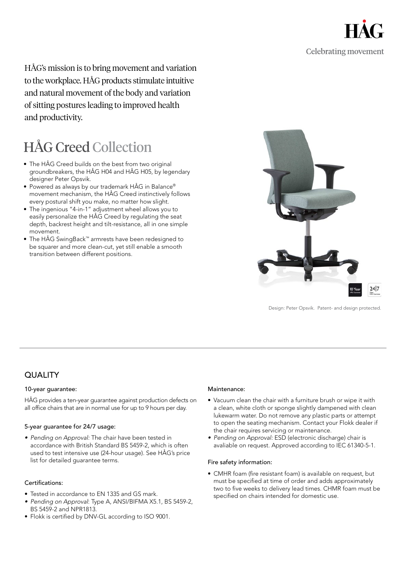

HÅG's mission is to bring movement and variation to the workplace. HÅG products stimulate intuitive and natural movement of the body and variation of sitting postures leading to improved health and productivity.

# HÅG Creed Collection

- The HÅG Creed builds on the best from two original groundbreakers, the HÅG H04 and HÅG H05, by legendary designer Peter Opsvik.
- Powered as always by our trademark HÅG in Balance® movement mechanism, the HÅG Creed instinctively follows every postural shift you make, no matter how slight.
- The ingenious "4-in-1" adjustment wheel allows you to easily personalize the HÅG Creed by regulating the seat depth, backrest height and tilt-resistance, all in one simple movement.
- The HÅG SwingBack™ armrests have been redesigned to be squarer and more clean-cut, yet still enable a smooth transition between different positions.



Design: Peter Opsvik. Patent- and design protected.

### **QUALITY**

#### 10-year guarantee:

HÅG provides a ten-year guarantee against production defects on all office chairs that are in normal use for up to 9 hours per day.

#### 5-year guarantee for 24/7 usage:

*• Pending on Approval:* The chair have been tested in accordance with British Standard BS 5459-2, which is often used to test intensive use (24-hour usage). See HÅG's price list for detailed guarantee terms.

#### Certifications:

- Tested in accordance to EN 1335 and GS mark.
- *• Pending on Approval*: Type A, ANSI/BIFMA X5.1, BS 5459-2, BS 5459-2 and NPR1813.
- Flokk is certified by DNV-GL according to ISO 9001.

#### Maintenance<sup>.</sup>

- Vacuum clean the chair with a furniture brush or wipe it with a clean, white cloth or sponge slightly dampened with clean lukewarm water. Do not remove any plastic parts or attempt to open the seating mechanism. Contact your Flokk dealer if the chair requires servicing or maintenance.
- *• Pending on Approval:* ESD (electronic discharge) chair is avaliable on request. Approved according to IEC 61340-5-1.

#### Fire safety information:

• CMHR foam (fire resistant foam) is available on request, but must be specified at time of order and adds approximately two to five weeks to delivery lead times. CHMR foam must be specified on chairs intended for domestic use.